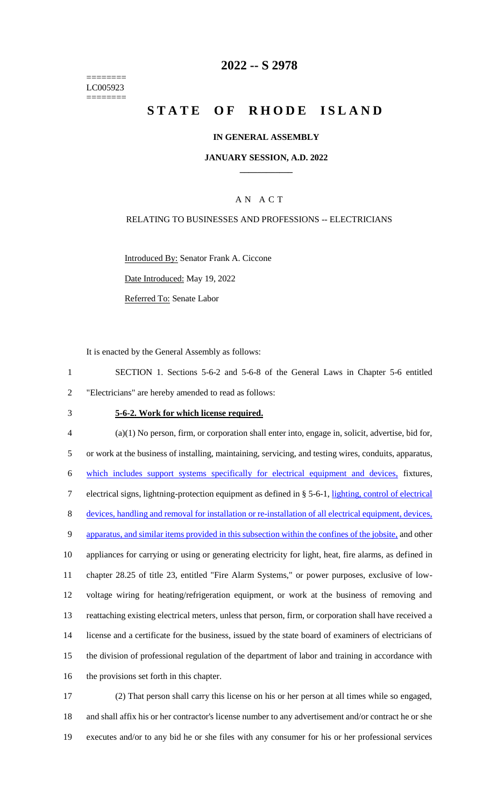======== LC005923 ========

### **2022 -- S 2978**

# **STATE OF RHODE ISLAND**

#### **IN GENERAL ASSEMBLY**

#### **JANUARY SESSION, A.D. 2022 \_\_\_\_\_\_\_\_\_\_\_\_**

### A N A C T

#### RELATING TO BUSINESSES AND PROFESSIONS -- ELECTRICIANS

Introduced By: Senator Frank A. Ciccone Date Introduced: May 19, 2022

Referred To: Senate Labor

It is enacted by the General Assembly as follows:

1 SECTION 1. Sections 5-6-2 and 5-6-8 of the General Laws in Chapter 5-6 entitled 2 "Electricians" are hereby amended to read as follows:

#### 3 **5-6-2. Work for which license required.**

 (a)(1) No person, firm, or corporation shall enter into, engage in, solicit, advertise, bid for, or work at the business of installing, maintaining, servicing, and testing wires, conduits, apparatus, which includes support systems specifically for electrical equipment and devices, fixtures, electrical signs, lightning-protection equipment as defined in § 5-6-1, lighting, control of electrical devices, handling and removal for installation or re-installation of all electrical equipment, devices, 9 apparatus, and similar items provided in this subsection within the confines of the jobsite, and other appliances for carrying or using or generating electricity for light, heat, fire alarms, as defined in chapter 28.25 of title 23, entitled "Fire Alarm Systems," or power purposes, exclusive of low- voltage wiring for heating/refrigeration equipment, or work at the business of removing and reattaching existing electrical meters, unless that person, firm, or corporation shall have received a license and a certificate for the business, issued by the state board of examiners of electricians of the division of professional regulation of the department of labor and training in accordance with the provisions set forth in this chapter.

17 (2) That person shall carry this license on his or her person at all times while so engaged, 18 and shall affix his or her contractor's license number to any advertisement and/or contract he or she 19 executes and/or to any bid he or she files with any consumer for his or her professional services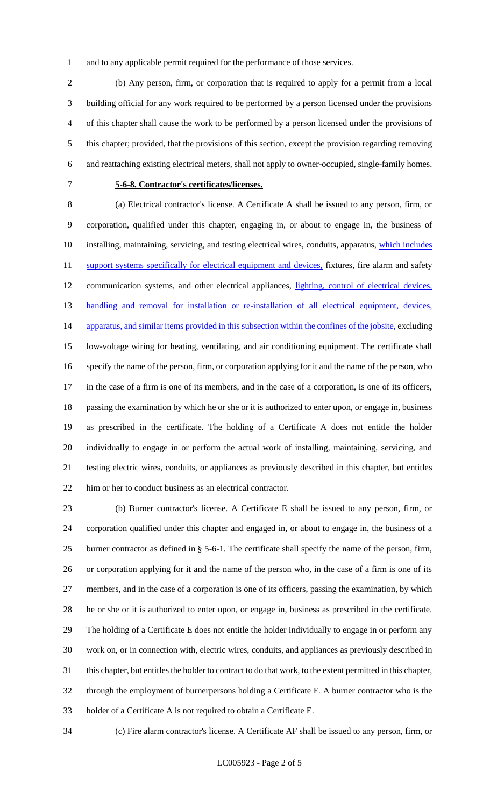and to any applicable permit required for the performance of those services.

 (b) Any person, firm, or corporation that is required to apply for a permit from a local building official for any work required to be performed by a person licensed under the provisions of this chapter shall cause the work to be performed by a person licensed under the provisions of this chapter; provided, that the provisions of this section, except the provision regarding removing and reattaching existing electrical meters, shall not apply to owner-occupied, single-family homes.

### **5-6-8. Contractor's certificates/licenses.**

 (a) Electrical contractor's license. A Certificate A shall be issued to any person, firm, or corporation, qualified under this chapter, engaging in, or about to engage in, the business of 10 installing, maintaining, servicing, and testing electrical wires, conduits, apparatus, which includes 11 support systems specifically for electrical equipment and devices, fixtures, fire alarm and safety 12 communication systems, and other electrical appliances, lighting, control of electrical devices, 13 handling and removal for installation or re-installation of all electrical equipment, devices, 14 apparatus, and similar items provided in this subsection within the confines of the jobsite, excluding low-voltage wiring for heating, ventilating, and air conditioning equipment. The certificate shall specify the name of the person, firm, or corporation applying for it and the name of the person, who in the case of a firm is one of its members, and in the case of a corporation, is one of its officers, passing the examination by which he or she or it is authorized to enter upon, or engage in, business as prescribed in the certificate. The holding of a Certificate A does not entitle the holder individually to engage in or perform the actual work of installing, maintaining, servicing, and testing electric wires, conduits, or appliances as previously described in this chapter, but entitles him or her to conduct business as an electrical contractor.

 (b) Burner contractor's license. A Certificate E shall be issued to any person, firm, or corporation qualified under this chapter and engaged in, or about to engage in, the business of a burner contractor as defined in § 5-6-1. The certificate shall specify the name of the person, firm, or corporation applying for it and the name of the person who, in the case of a firm is one of its members, and in the case of a corporation is one of its officers, passing the examination, by which he or she or it is authorized to enter upon, or engage in, business as prescribed in the certificate. The holding of a Certificate E does not entitle the holder individually to engage in or perform any work on, or in connection with, electric wires, conduits, and appliances as previously described in this chapter, but entitles the holder to contract to do that work, to the extent permitted in this chapter, through the employment of burnerpersons holding a Certificate F. A burner contractor who is the holder of a Certificate A is not required to obtain a Certificate E.

(c) Fire alarm contractor's license. A Certificate AF shall be issued to any person, firm, or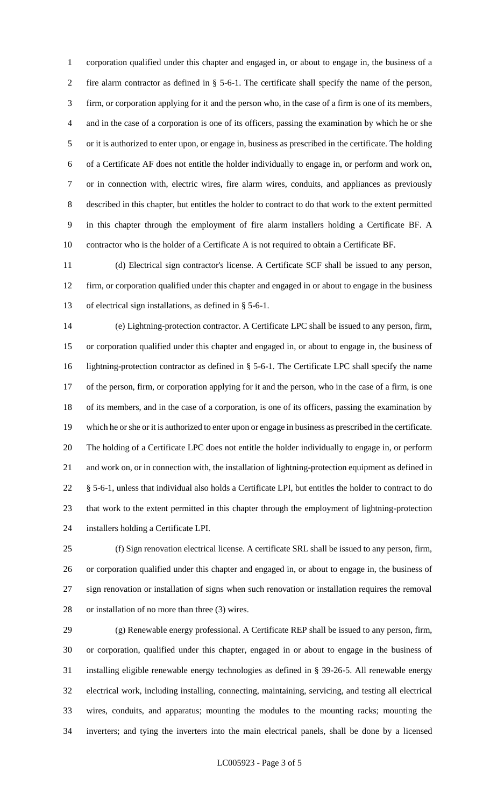corporation qualified under this chapter and engaged in, or about to engage in, the business of a fire alarm contractor as defined in § 5-6-1. The certificate shall specify the name of the person, firm, or corporation applying for it and the person who, in the case of a firm is one of its members, and in the case of a corporation is one of its officers, passing the examination by which he or she or it is authorized to enter upon, or engage in, business as prescribed in the certificate. The holding of a Certificate AF does not entitle the holder individually to engage in, or perform and work on, or in connection with, electric wires, fire alarm wires, conduits, and appliances as previously described in this chapter, but entitles the holder to contract to do that work to the extent permitted in this chapter through the employment of fire alarm installers holding a Certificate BF. A contractor who is the holder of a Certificate A is not required to obtain a Certificate BF.

 (d) Electrical sign contractor's license. A Certificate SCF shall be issued to any person, firm, or corporation qualified under this chapter and engaged in or about to engage in the business of electrical sign installations, as defined in § 5-6-1.

 (e) Lightning-protection contractor. A Certificate LPC shall be issued to any person, firm, or corporation qualified under this chapter and engaged in, or about to engage in, the business of lightning-protection contractor as defined in § 5-6-1. The Certificate LPC shall specify the name of the person, firm, or corporation applying for it and the person, who in the case of a firm, is one of its members, and in the case of a corporation, is one of its officers, passing the examination by which he or she or it is authorized to enter upon or engage in business as prescribed in the certificate. The holding of a Certificate LPC does not entitle the holder individually to engage in, or perform and work on, or in connection with, the installation of lightning-protection equipment as defined in 22 § 5-6-1, unless that individual also holds a Certificate LPI, but entitles the holder to contract to do that work to the extent permitted in this chapter through the employment of lightning-protection installers holding a Certificate LPI.

 (f) Sign renovation electrical license. A certificate SRL shall be issued to any person, firm, or corporation qualified under this chapter and engaged in, or about to engage in, the business of sign renovation or installation of signs when such renovation or installation requires the removal or installation of no more than three (3) wires.

 (g) Renewable energy professional. A Certificate REP shall be issued to any person, firm, or corporation, qualified under this chapter, engaged in or about to engage in the business of installing eligible renewable energy technologies as defined in § 39-26-5. All renewable energy electrical work, including installing, connecting, maintaining, servicing, and testing all electrical wires, conduits, and apparatus; mounting the modules to the mounting racks; mounting the inverters; and tying the inverters into the main electrical panels, shall be done by a licensed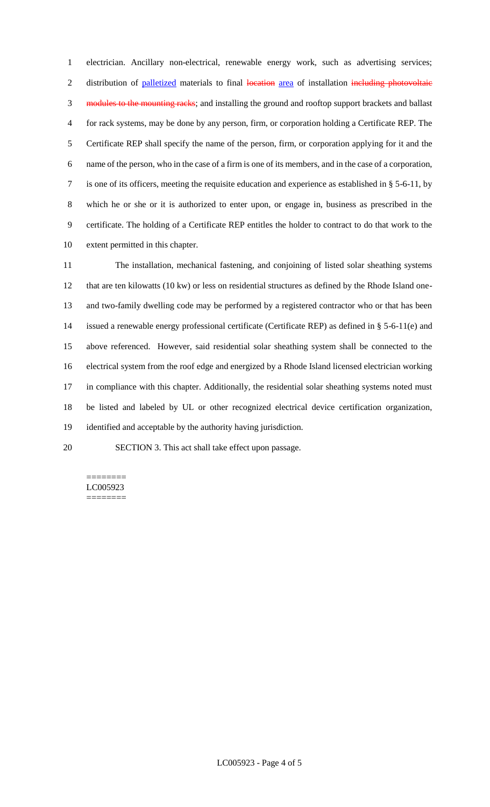electrician. Ancillary non-electrical, renewable energy work, such as advertising services; 2 distribution of palletized materials to final location area of installation including photovoltaic 3 modules to the mounting racks; and installing the ground and rooftop support brackets and ballast for rack systems, may be done by any person, firm, or corporation holding a Certificate REP. The Certificate REP shall specify the name of the person, firm, or corporation applying for it and the name of the person, who in the case of a firm is one of its members, and in the case of a corporation, is one of its officers, meeting the requisite education and experience as established in § 5-6-11, by which he or she or it is authorized to enter upon, or engage in, business as prescribed in the certificate. The holding of a Certificate REP entitles the holder to contract to do that work to the extent permitted in this chapter.

 The installation, mechanical fastening, and conjoining of listed solar sheathing systems that are ten kilowatts (10 kw) or less on residential structures as defined by the Rhode Island one- and two-family dwelling code may be performed by a registered contractor who or that has been issued a renewable energy professional certificate (Certificate REP) as defined in § 5-6-11(e) and above referenced. However, said residential solar sheathing system shall be connected to the electrical system from the roof edge and energized by a Rhode Island licensed electrician working 17 in compliance with this chapter. Additionally, the residential solar sheathing systems noted must be listed and labeled by UL or other recognized electrical device certification organization, identified and acceptable by the authority having jurisdiction.

SECTION 3. This act shall take effect upon passage.

#### ======== LC005923 ========